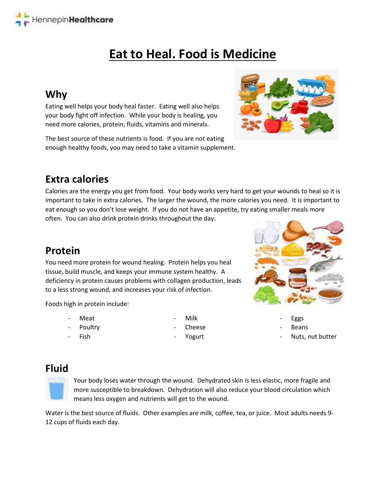# **Eat to Heal. Food is Medicine**

# **Why**

Eating well helps your body heal faster. Eating well also helps your body fight off infection. While your body is healing, you need more calories, protein, fluids, vitamins and minerals.

The best source of these nutrients is food. If you are not eating enough healthy foods, you may need to take a vitamin supplement.

# **Extra calories**

Calories are the energy you get from food. Your body works very hard to get your wounds to heal so it is important to take in extra calories. The larger the wound, the more calories you need. It is important to eat enough so you don't lose weight. If you do not have an appetite, try eating smaller meals more often. You can also drink protein drinks throughout the day.

### **Protein**

You need more protein for wound healing. Protein helps you heal tissue, build muscle, and keeps your immune system healthy. A deficiency in protein causes problems with collagen production, leads to a less strong wound, and increases your risk of infection.

Foods high in protein include:

- **Meat**
- Poultry Fish
- Milk
- Cheese
	- Yogurt



- **Eggs**
- **Beans**
- Nuts, nut butter

### **Fluid**



Your body loses water through the wound. Dehydrated skin is less elastic, more fragile and more susceptible to breakdown. Dehydration will also reduce your blood circulation which means less oxygen and nutrients will get to the wound.

Water is the best source of fluids. Other examples are milk, coffee, tea, or juice. Most adults needs 9- 12 cups of fluids each day.